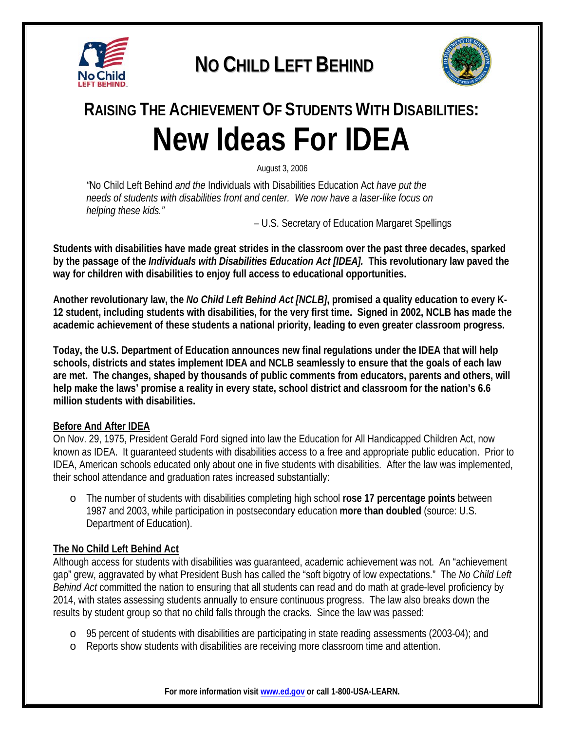

## **NO CHILD LEFT BEHIND**



# **RAISING THE ACHIEVEMENT OF STUDENTS WITH DISABILITIES: New Ideas For IDEA**

August 3, 2006

*"*No Child Left Behind *and the* Individuals with Disabilities Education Act *have put the needs of students with disabilities front and center. We now have a laser-like focus on helping these kids."* 

– U.S. Secretary of Education Margaret Spellings

**Students with disabilities have made great strides in the classroom over the past three decades, sparked by the passage of the** *Individuals with Disabilities Education Act [IDEA].* **This revolutionary law paved the way for children with disabilities to enjoy full access to educational opportunities.** 

**Another revolutionary law, the** *No Child Left Behind Act [NCLB]***, promised a quality education to every K-12 student, including students with disabilities, for the very first time. Signed in 2002, NCLB has made the academic achievement of these students a national priority, leading to even greater classroom progress.** 

**Today, the U.S. Department of Education announces new final regulations under the IDEA that will help schools, districts and states implement IDEA and NCLB seamlessly to ensure that the goals of each law are met. The changes, shaped by thousands of public comments from educators, parents and others, will help make the laws' promise a reality in every state, school district and classroom for the nation's 6.6 million students with disabilities.** 

#### **Before And After IDEA**

On Nov. 29, 1975, President Gerald Ford signed into law the Education for All Handicapped Children Act, now known as IDEA. It guaranteed students with disabilities access to a free and appropriate public education. Prior to IDEA, American schools educated only about one in five students with disabilities. After the law was implemented, their school attendance and graduation rates increased substantially:

o The number of students with disabilities completing high school **rose 17 percentage points** between 1987 and 2003, while participation in postsecondary education **more than doubled** (source: U.S. Department of Education).

#### **The No Child Left Behind Act**

Although access for students with disabilities was guaranteed, academic achievement was not. An "achievement gap" grew, aggravated by what President Bush has called the "soft bigotry of low expectations." The *No Child Left Behind Act* committed the nation to ensuring that all students can read and do math at grade-level proficiency by 2014, with states assessing students annually to ensure continuous progress. The law also breaks down the results by student group so that no child falls through the cracks. Since the law was passed:

- o 95 percent of students with disabilities are participating in state reading assessments (2003-04); and
- o Reports show students with disabilities are receiving more classroom time and attention.

**For more information visit www.ed.gov or call 1-800-USA-LEARN.**